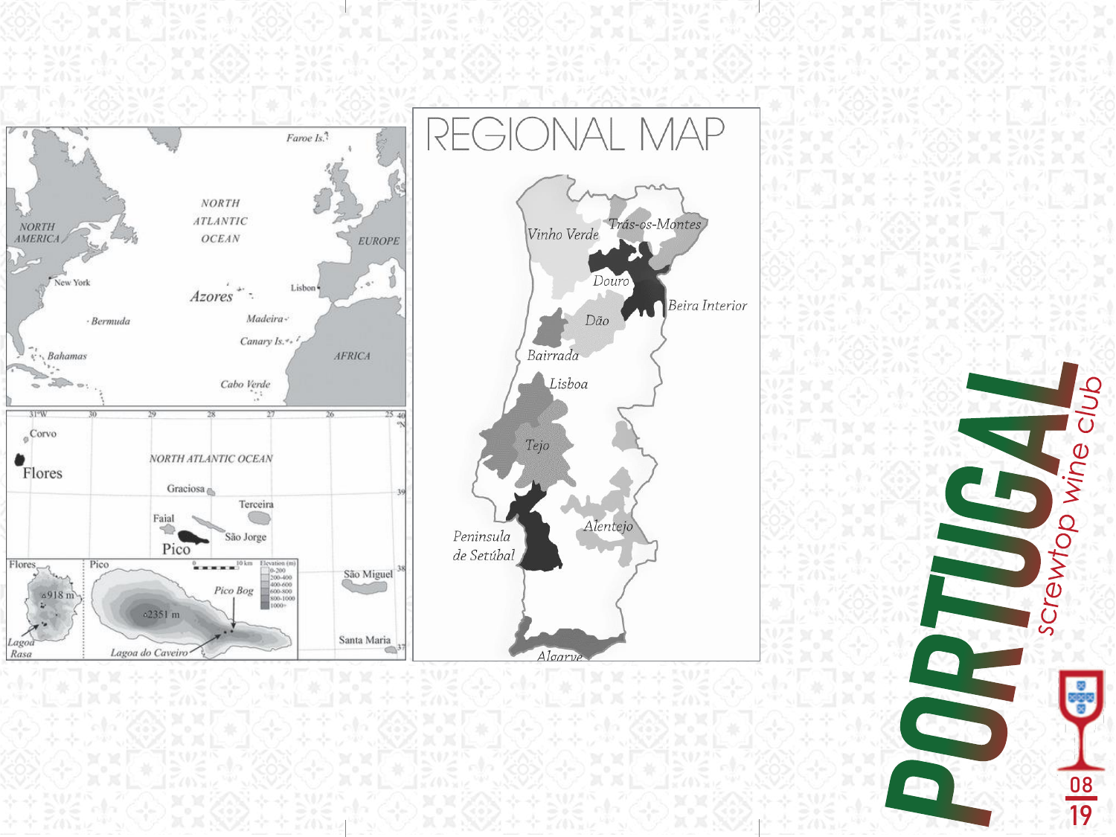